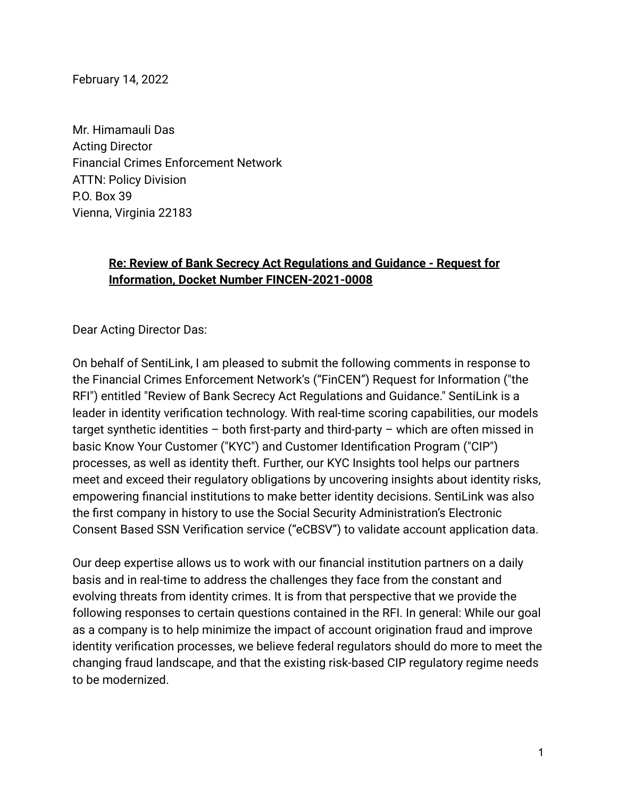February 14, 2022

Mr. Himamauli Das Acting Director Financial Crimes Enforcement Network ATTN: Policy Division P.O. Box 39 Vienna, Virginia 22183

### **Re: Review of Bank Secrecy Act Regulations and Guidance - Request for Information, Docket Number FINCEN-2021-0008**

Dear Acting Director Das:

On behalf of SentiLink, I am pleased to submit the following comments in response to the Financial Crimes Enforcement Network's ("FinCEN") Request for Information ("the RFI") entitled "Review of Bank Secrecy Act Regulations and Guidance." SentiLink is a leader in identity verification technology. With real-time scoring capabilities, our models target synthetic identities – both first-party and third-party – which are often missed in basic Know Your Customer ("KYC") and Customer Identification Program ("CIP") processes, as well as identity theft. Further, our KYC Insights tool helps our partners meet and exceed their regulatory obligations by uncovering insights about identity risks, empowering financial institutions to make better identity decisions. SentiLink was also the first company in history to use the Social Security Administration's Electronic Consent Based SSN Verification service ("eCBSV") to validate account application data.

Our deep expertise allows us to work with our financial institution partners on a daily basis and in real-time to address the challenges they face from the constant and evolving threats from identity crimes. It is from that perspective that we provide the following responses to certain questions contained in the RFI. In general: While our goal as a company is to help minimize the impact of account origination fraud and improve identity verification processes, we believe federal regulators should do more to meet the changing fraud landscape, and that the existing risk-based CIP regulatory regime needs to be modernized.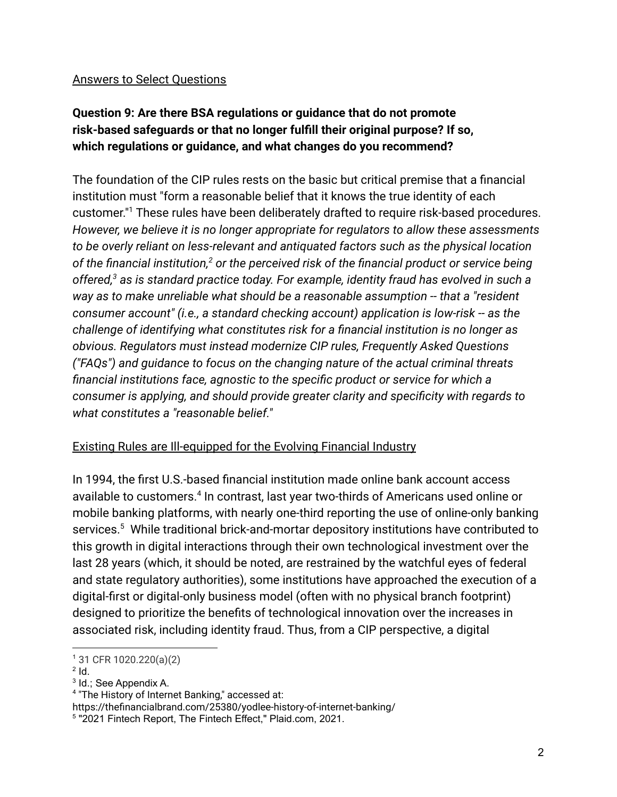#### Answers to Select Questions

## **Question 9: Are there BSA regulations or guidance that do not promote risk-based safeguards or that no longer fulfill their original purpose? If so, which regulations or guidance, and what changes do you recommend?**

The foundation of the CIP rules rests on the basic but critical premise that a financial institution must "form a reasonable belief that it knows the true identity of each customer." <sup>1</sup> These rules have been deliberately drafted to require risk-based procedures. *However, we believe it is no longer appropriate for regulators to allow these assessments to be overly reliant on less-relevant and antiquated factors such as the physical location of the financial institution,<sup>2</sup> or the perceived risk of the financial product or service being offered,<sup>3</sup> as is standard practice today. For example, identity fraud has evolved in such a way as to make unreliable what should be a reasonable assumption -- that a "resident consumer account" (i.e., a standard checking account) application is low-risk -- as the challenge of identifying what constitutes risk for a financial institution is no longer as obvious. Regulators must instead modernize CIP rules, Frequently Asked Questions ("FAQs") and guidance to focus on the changing nature of the actual criminal threats financial institutions face, agnostic to the specific product or service for which a consumer is applying, and should provide greater clarity and specificity with regards to what constitutes a "reasonable belief."*

#### Existing Rules are Ill-equipped for the Evolving Financial Industry

In 1994, the first U.S.-based financial institution made online bank account access available to customers.<sup>4</sup> In contrast, last year two-thirds of Americans used online or mobile banking platforms, with nearly one-third reporting the use of online-only banking services.<sup>5</sup> While traditional brick-and-mortar depository institutions have contributed to this growth in digital interactions through their own technological investment over the last 28 years (which, it should be noted, are restrained by the watchful eyes of federal and state regulatory authorities), some institutions have approached the execution of a digital-first or digital-only business model (often with no physical branch footprint) designed to prioritize the benefits of technological innovation over the increases in associated risk, including identity fraud. Thus, from a CIP perspective, a digital

 $2$   $\mathsf{Id}$ .

<sup>1</sup> 31 CFR 1020.220(a)(2)

<sup>&</sup>lt;sup>3</sup> Id.; See Appendix A.

<sup>4</sup> "The History of Internet Banking," accessed at:

https://thefinancialbrand.com/25380/yodlee-history-of-internet-banking/

<sup>5</sup> "2021 Fintech Report, The Fintech Effect," Plaid.com, 2021.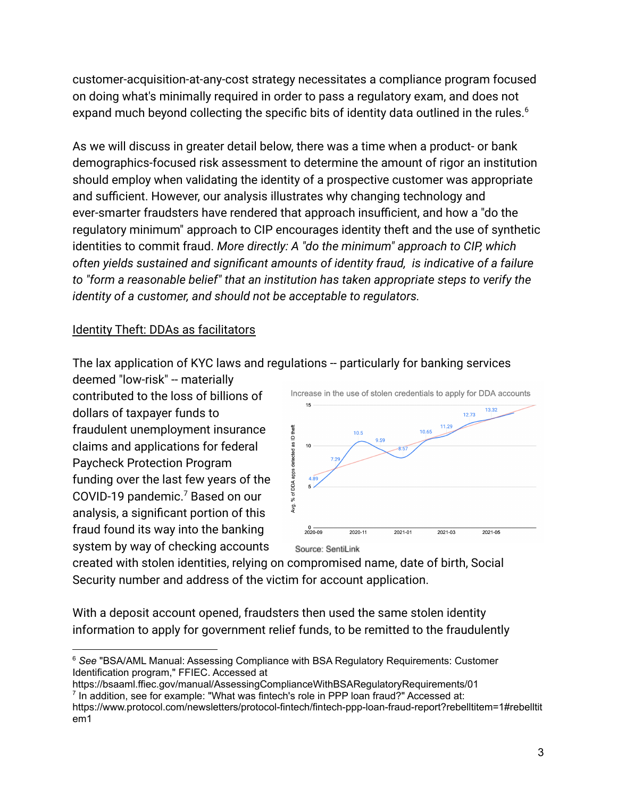customer-acquisition-at-any-cost strategy necessitates a compliance program focused on doing what's minimally required in order to pass a regulatory exam, and does not expand much beyond collecting the specific bits of identity data outlined in the rules.<sup>6</sup>

As we will discuss in greater detail below, there was a time when a product- or bank demographics-focused risk assessment to determine the amount of rigor an institution should employ when validating the identity of a prospective customer was appropriate and sufficient. However, our analysis illustrates why changing technology and ever-smarter fraudsters have rendered that approach insufficient, and how a "do the regulatory minimum" approach to CIP encourages identity theft and the use of synthetic identities to commit fraud. *More directly: A "do the minimum" approach to CIP, which often yields sustained and significant amounts of identity fraud, is indicative of a failure to "form a reasonable belief" that an institution has taken appropriate steps to verify the identity of a customer, and should not be acceptable to regulators.*

#### Identity Theft: DDAs as facilitators

The lax application of KYC laws and regulations -- particularly for banking services

deemed "low-risk" -- materially contributed to the loss of billions of dollars of taxpayer funds to fraudulent unemployment insurance claims and applications for federal Paycheck Protection Program funding over the last few years of the COVID-19 pandemic.<sup>7</sup> Based on our analysis, a significant portion of this fraud found its way into the banking system by way of checking accounts



created with stolen identities, relying on compromised name, date of birth, Social Security number and address of the victim for account application.

With a deposit account opened, fraudsters then used the same stolen identity information to apply for government relief funds, to be remitted to the fraudulently

<sup>7</sup> In addition, see for example: "What was fintech's role in PPP loan fraud?" Accessed at: https://bsaaml.ffiec.gov/manual/AssessingComplianceWithBSARegulatoryRequirements/01

<sup>6</sup> *See* "BSA/AML Manual: Assessing Compliance with BSA Regulatory Requirements: Customer Identification program," FFIEC. Accessed at

https://www.protocol.com/newsletters/protocol-fintech/fintech-ppp-loan-fraud-report?rebelltitem=1#rebelltit em1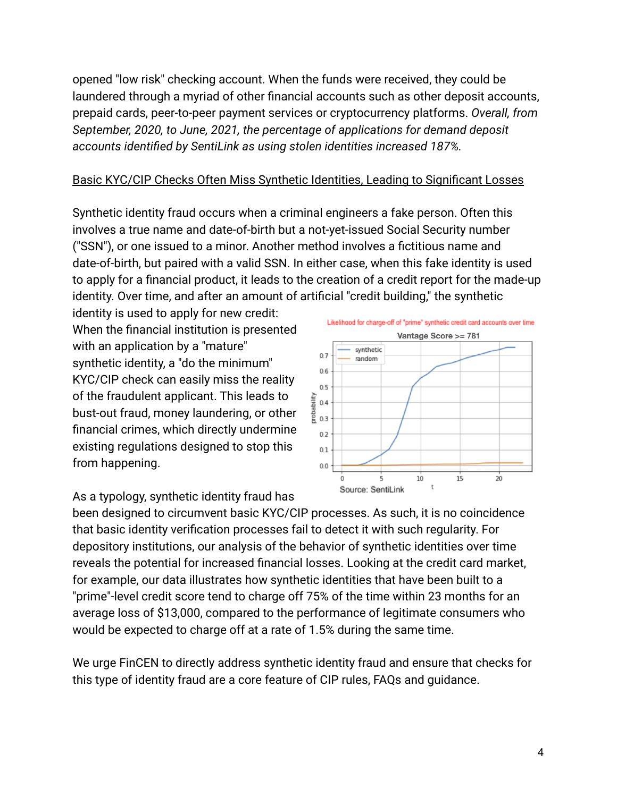opened "low risk" checking account. When the funds were received, they could be laundered through a myriad of other financial accounts such as other deposit accounts, prepaid cards, peer-to-peer payment services or cryptocurrency platforms. *Overall, from September, 2020, to June, 2021, the percentage of applications for demand deposit accounts identified by SentiLink as using stolen identities increased 187%.*

#### Basic KYC/CIP Checks Often Miss Synthetic Identities, Leading to Significant Losses

Synthetic identity fraud occurs when a criminal engineers a fake person. Often this involves a true name and date-of-birth but a not-yet-issued Social Security number ("SSN"), or one issued to a minor. Another method involves a fictitious name and date-of-birth, but paired with a valid SSN. In either case, when this fake identity is used to apply for a financial product, it leads to the creation of a credit report for the made-up identity. Over time, and after an amount of artificial "credit building," the synthetic

identity is used to apply for new credit: When the financial institution is presented with an application by a "mature" synthetic identity, a "do the minimum" KYC/CIP check can easily miss the reality of the fraudulent applicant. This leads to bust-out fraud, money laundering, or other financial crimes, which directly undermine existing regulations designed to stop this from happening.





Likelihood for charge-off of "prime" synthetic credit card accounts over time Vantage Score >= 781

been designed to circumvent basic KYC/CIP processes. As such, it is no coincidence that basic identity verification processes fail to detect it with such regularity. For depository institutions, our analysis of the behavior of synthetic identities over time reveals the potential for increased financial losses. Looking at the credit card market, for example, our data illustrates how synthetic identities that have been built to a "prime"-level credit score tend to charge off 75% of the time within 23 months for an average loss of \$13,000, compared to the performance of legitimate consumers who would be expected to charge off at a rate of 1.5% during the same time.

We urge FinCEN to directly address synthetic identity fraud and ensure that checks for this type of identity fraud are a core feature of CIP rules, FAQs and guidance.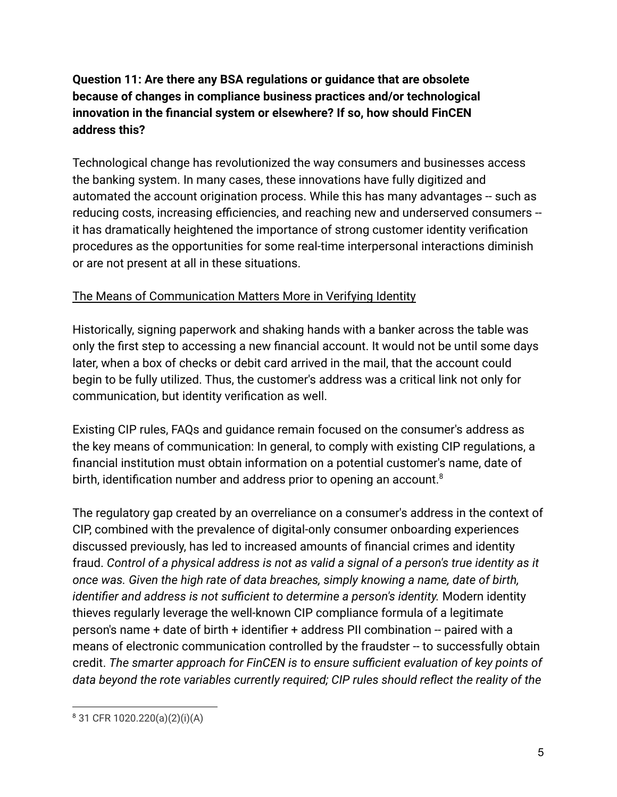### **Question 11: Are there any BSA regulations or guidance that are obsolete because of changes in compliance business practices and/or technological innovation in the financial system or elsewhere? If so, how should FinCEN address this?**

Technological change has revolutionized the way consumers and businesses access the banking system. In many cases, these innovations have fully digitized and automated the account origination process. While this has many advantages -- such as reducing costs, increasing efficiencies, and reaching new and underserved consumers - it has dramatically heightened the importance of strong customer identity verification procedures as the opportunities for some real-time interpersonal interactions diminish or are not present at all in these situations.

### The Means of Communication Matters More in Verifying Identity

Historically, signing paperwork and shaking hands with a banker across the table was only the first step to accessing a new financial account. It would not be until some days later, when a box of checks or debit card arrived in the mail, that the account could begin to be fully utilized. Thus, the customer's address was a critical link not only for communication, but identity verification as well.

Existing CIP rules, FAQs and guidance remain focused on the consumer's address as the key means of communication: In general, to comply with existing CIP regulations, a financial institution must obtain information on a potential customer's name, date of birth, identification number and address prior to opening an account.<sup>8</sup>

The regulatory gap created by an overreliance on a consumer's address in the context of CIP, combined with the prevalence of digital-only consumer onboarding experiences discussed previously, has led to increased amounts of financial crimes and identity fraud. *Control of a physical address is not as valid a signal of a person's true identity as it once was. Given the high rate of data breaches, simply knowing a name, date of birth, identifier and address is not sufficient to determine a person's identity.* Modern identity thieves regularly leverage the well-known CIP compliance formula of a legitimate person's name + date of birth + identifier + address PII combination -- paired with a means of electronic communication controlled by the fraudster -- to successfully obtain credit. *The smarter approach for FinCEN is to ensure sufficient evaluation of key points of data beyond the rote variables currently required; CIP rules should reflect the reality of the*

<sup>8</sup> 31 CFR 1020.220(a)(2)(i)(A)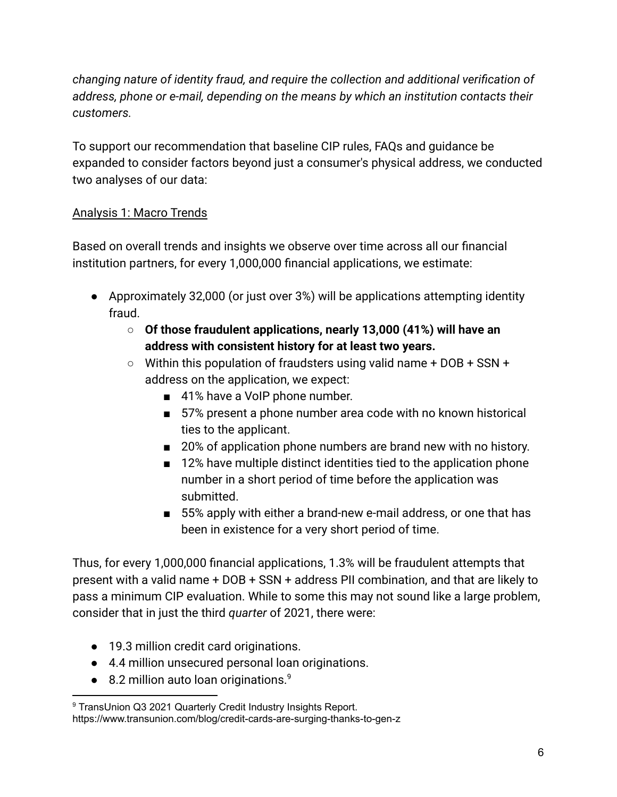*changing nature of identity fraud, and require the collection and additional verification of address, phone or e-mail, depending on the means by which an institution contacts their customers.*

To support our recommendation that baseline CIP rules, FAQs and guidance be expanded to consider factors beyond just a consumer's physical address, we conducted two analyses of our data:

### Analysis 1: Macro Trends

Based on overall trends and insights we observe over time across all our financial institution partners, for every 1,000,000 financial applications, we estimate:

- Approximately 32,000 (or just over 3%) will be applications attempting identity fraud.
	- **○ Of those fraudulent applications, nearly 13,000 (41%) will have an address with consistent history for at least two years.**
	- $\circ$  Within this population of fraudsters using valid name + DOB + SSN + address on the application, we expect:
		- 41% have a VoIP phone number.
		- 57% present a phone number area code with no known historical ties to the applicant.
		- 20% of application phone numbers are brand new with no history.
		- 12% have multiple distinct identities tied to the application phone number in a short period of time before the application was submitted.
		- 55% apply with either a brand-new e-mail address, or one that has been in existence for a very short period of time.

Thus, for every 1,000,000 financial applications, 1.3% will be fraudulent attempts that present with a valid name + DOB + SSN + address PII combination, and that are likely to pass a minimum CIP evaluation. While to some this may not sound like a large problem, consider that in just the third *quarter* of 2021, there were:

- 19.3 million credit card originations.
- 4.4 million unsecured personal loan originations.
- 8.2 million auto loan originations.<sup>9</sup>

<sup>&</sup>lt;sup>9</sup> TransUnion Q3 2021 Quarterly Credit Industry Insights Report. https://www.transunion.com/blog/credit-cards-are-surging-thanks-to-gen-z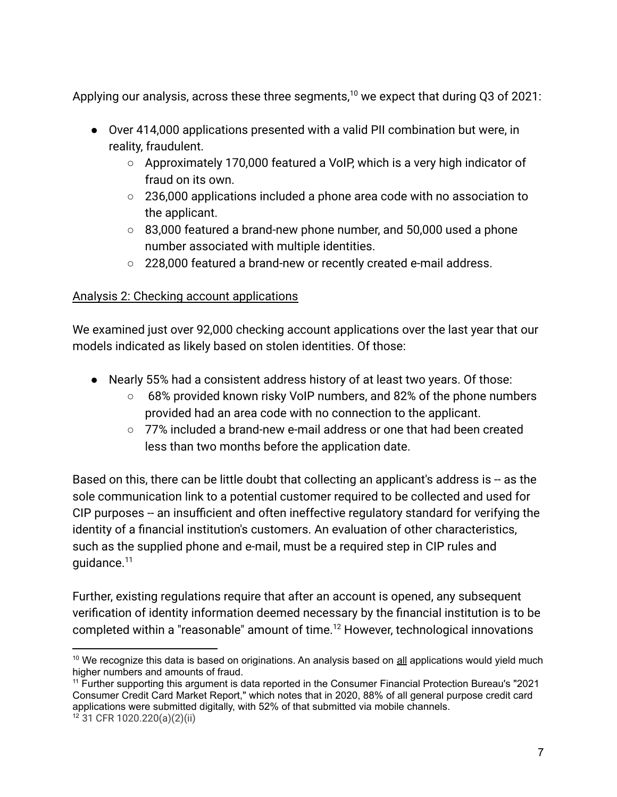Applying our analysis, across these three segments,<sup>10</sup> we expect that during Q3 of 2021:

- Over 414,000 applications presented with a valid PII combination but were, in reality, fraudulent.
	- Approximately 170,000 featured a VoIP, which is a very high indicator of fraud on its own.
	- 236,000 applications included a phone area code with no association to the applicant.
	- 83,000 featured a brand-new phone number, and 50,000 used a phone number associated with multiple identities.
	- 228,000 featured a brand-new or recently created e-mail address.

#### Analysis 2: Checking account applications

We examined just over 92,000 checking account applications over the last year that our models indicated as likely based on stolen identities. Of those:

- Nearly 55% had a consistent address history of at least two years. Of those:
	- 68% provided known risky VoIP numbers, and 82% of the phone numbers provided had an area code with no connection to the applicant.
	- $\circ$  77% included a brand-new e-mail address or one that had been created less than two months before the application date.

Based on this, there can be little doubt that collecting an applicant's address is -- as the sole communication link to a potential customer required to be collected and used for CIP purposes -- an insufficient and often ineffective regulatory standard for verifying the identity of a financial institution's customers. An evaluation of other characteristics, such as the supplied phone and e-mail, must be a required step in CIP rules and guidance.<sup>11</sup>

Further, existing regulations require that after an account is opened, any subsequent verification of identity information deemed necessary by the financial institution is to be completed within a "reasonable" amount of time.<sup>12</sup> However, technological innovations

 $10$  We recognize this data is based on originations. An analysis based on all applications would yield much higher numbers and amounts of fraud.

<sup>12</sup> 31 CFR 1020.220(a)(2)(ii) <sup>11</sup> Further supporting this argument is data reported in the Consumer Financial Protection Bureau's "2021 Consumer Credit Card Market Report," which notes that in 2020, 88% of all general purpose credit card applications were submitted digitally, with 52% of that submitted via mobile channels.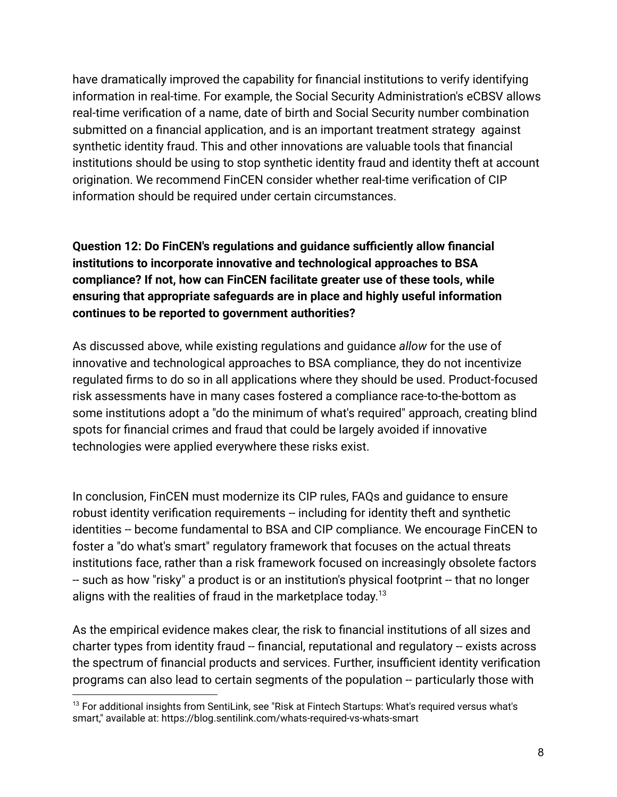have dramatically improved the capability for financial institutions to verify identifying information in real-time. For example, the Social Security Administration's eCBSV allows real-time verification of a name, date of birth and Social Security number combination submitted on a financial application, and is an important treatment strategy against synthetic identity fraud. This and other innovations are valuable tools that financial institutions should be using to stop synthetic identity fraud and identity theft at account origination. We recommend FinCEN consider whether real-time verification of CIP information should be required under certain circumstances.

**Question 12: Do FinCEN's regulations and guidance sufficiently allow financial institutions to incorporate innovative and technological approaches to BSA compliance? If not, how can FinCEN facilitate greater use of these tools, while ensuring that appropriate safeguards are in place and highly useful information continues to be reported to government authorities?**

As discussed above, while existing regulations and guidance *allow* for the use of innovative and technological approaches to BSA compliance, they do not incentivize regulated firms to do so in all applications where they should be used. Product-focused risk assessments have in many cases fostered a compliance race-to-the-bottom as some institutions adopt a "do the minimum of what's required" approach, creating blind spots for financial crimes and fraud that could be largely avoided if innovative technologies were applied everywhere these risks exist.

In conclusion, FinCEN must modernize its CIP rules, FAQs and guidance to ensure robust identity verification requirements -- including for identity theft and synthetic identities -- become fundamental to BSA and CIP compliance. We encourage FinCEN to foster a "do what's smart" regulatory framework that focuses on the actual threats institutions face, rather than a risk framework focused on increasingly obsolete factors -- such as how "risky" a product is or an institution's physical footprint -- that no longer aligns with the realities of fraud in the marketplace today. $^{13}$ 

As the empirical evidence makes clear, the risk to financial institutions of all sizes and charter types from identity fraud -- financial, reputational and regulatory -- exists across the spectrum of financial products and services. Further, insufficient identity verification programs can also lead to certain segments of the population -- particularly those with

<sup>&</sup>lt;sup>13</sup> For additional insights from SentiLink, see "Risk at Fintech Startups: What's required versus what's smart," available at: https://blog.sentilink.com/whats-required-vs-whats-smart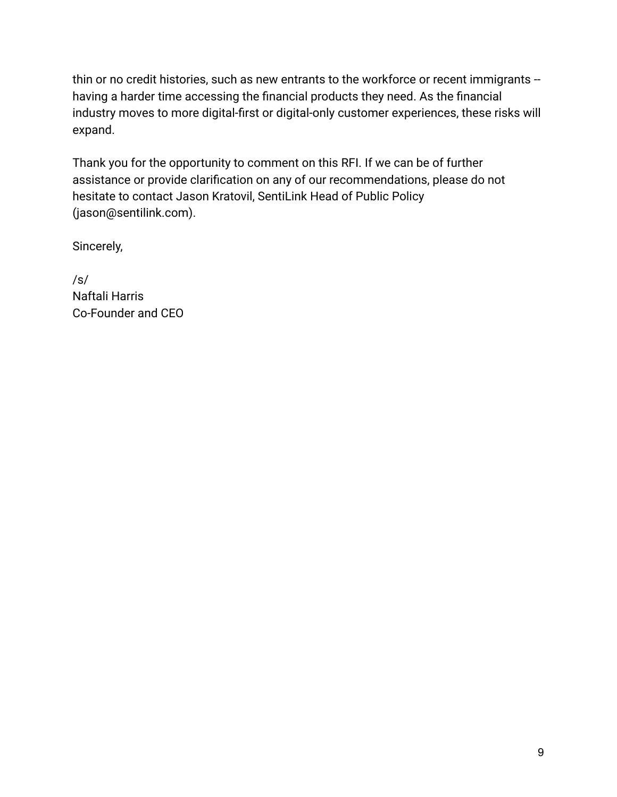thin or no credit histories, such as new entrants to the workforce or recent immigrants -having a harder time accessing the financial products they need. As the financial industry moves to more digital-first or digital-only customer experiences, these risks will expand.

Thank you for the opportunity to comment on this RFI. If we can be of further assistance or provide clarification on any of our recommendations, please do not hesitate to contact Jason Kratovil, SentiLink Head of Public Policy (jason@sentilink.com).

Sincerely,

/s/ Naftali Harris Co-Founder and CEO